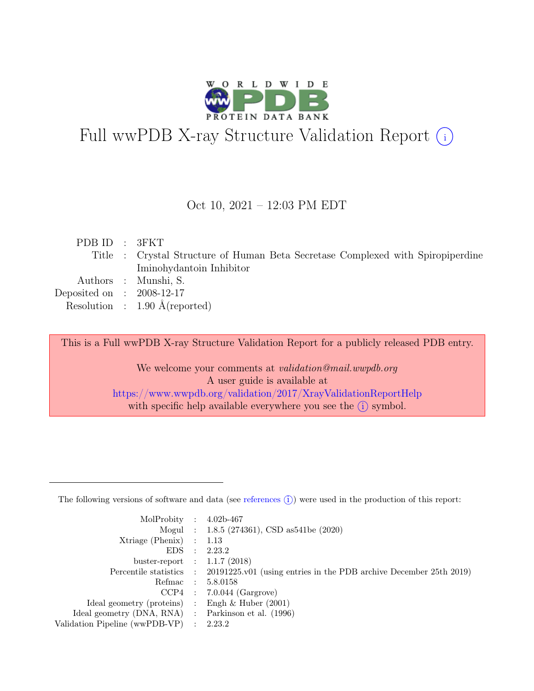

# Full wwPDB X-ray Structure Validation Report  $(i)$

### Oct 10, 2021 – 12:03 PM EDT

| PDB ID : 3FKT               |                                                                                 |
|-----------------------------|---------------------------------------------------------------------------------|
|                             | Title : Crystal Structure of Human Beta Secretase Complexed with Spiropiperdine |
|                             | Iminohydantoin Inhibitor                                                        |
|                             | Authors : Munshi, S.                                                            |
| Deposited on : $2008-12-17$ |                                                                                 |
|                             | Resolution : $1.90 \text{ Å}$ (reported)                                        |
|                             |                                                                                 |

This is a Full wwPDB X-ray Structure Validation Report for a publicly released PDB entry.

We welcome your comments at *validation@mail.wwpdb.org* A user guide is available at <https://www.wwpdb.org/validation/2017/XrayValidationReportHelp> with specific help available everywhere you see the  $(i)$  symbol.

The following versions of software and data (see [references](https://www.wwpdb.org/validation/2017/XrayValidationReportHelp#references)  $(i)$ ) were used in the production of this report:

| MolProbity : $4.02b-467$                            |                                                                                            |
|-----------------------------------------------------|--------------------------------------------------------------------------------------------|
|                                                     |                                                                                            |
|                                                     | Mogul : 1.8.5 (274361), CSD as 541be (2020)                                                |
| $Xtriangle (Phenix)$ : 1.13                         |                                                                                            |
|                                                     | EDS : 2.23.2                                                                               |
| buster-report : $1.1.7$ (2018)                      |                                                                                            |
|                                                     | Percentile statistics : 20191225.v01 (using entries in the PDB archive December 25th 2019) |
| Refmac : 5.8.0158                                   |                                                                                            |
|                                                     | $CCP4$ : 7.0.044 (Gargrove)                                                                |
| Ideal geometry (proteins) : Engh $\&$ Huber (2001)  |                                                                                            |
| Ideal geometry (DNA, RNA) : Parkinson et al. (1996) |                                                                                            |
| Validation Pipeline (wwPDB-VP) : 2.23.2             |                                                                                            |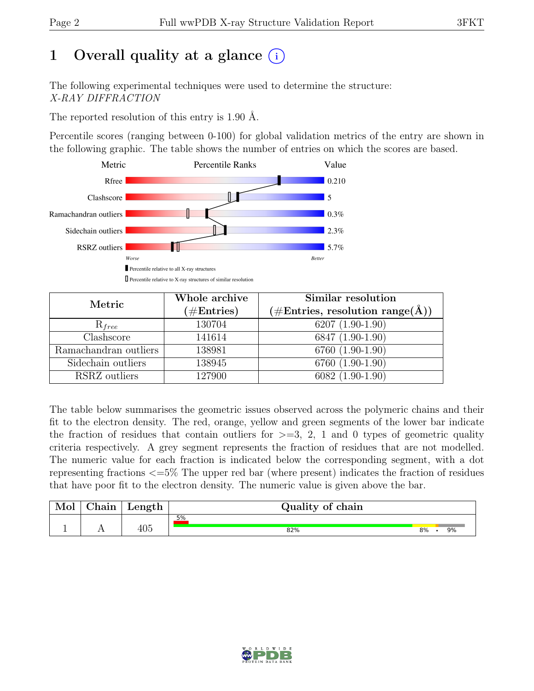# 1 Overall quality at a glance  $(i)$

The following experimental techniques were used to determine the structure: X-RAY DIFFRACTION

The reported resolution of this entry is 1.90 Å.

Percentile scores (ranging between 0-100) for global validation metrics of the entry are shown in the following graphic. The table shows the number of entries on which the scores are based.



| Metric                | Whole archive        | Similar resolution                                           |
|-----------------------|----------------------|--------------------------------------------------------------|
|                       | $(\#\text{Entries})$ | $(\# \text{Entries}, \text{ resolution } \text{range}(\AA))$ |
| $\mathrm{R}_{free}$   | 130704               | $6207(1.90-1.90)$                                            |
| Clashscore            | 141614               | 6847 (1.90-1.90)                                             |
| Ramachandran outliers | 138981               | 6760 (1.90-1.90)                                             |
| Sidechain outliers    | 138945               | 6760 (1.90-1.90)                                             |
| RSRZ outliers         | 127900               | $6082(1.90-1.90)$                                            |

The table below summarises the geometric issues observed across the polymeric chains and their fit to the electron density. The red, orange, yellow and green segments of the lower bar indicate the fraction of residues that contain outliers for  $\geq$ =3, 2, 1 and 0 types of geometric quality criteria respectively. A grey segment represents the fraction of residues that are not modelled. The numeric value for each fraction is indicated below the corresponding segment, with a dot representing fractions <=5% The upper red bar (where present) indicates the fraction of residues that have poor fit to the electron density. The numeric value is given above the bar.

| Mol | $\alpha$ hain | Length     | Quality of chain |    |    |
|-----|---------------|------------|------------------|----|----|
|     |               |            | 5%               |    |    |
|     | . .           | 10F<br>4U5 | 82%              | 8% | 9% |

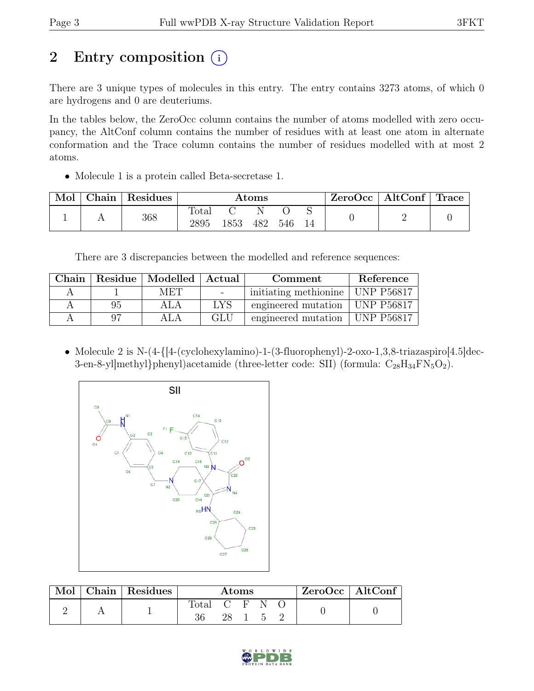# 2 Entry composition (i)

There are 3 unique types of molecules in this entry. The entry contains 3273 atoms, of which 0 are hydrogens and 0 are deuteriums.

In the tables below, the ZeroOcc column contains the number of atoms modelled with zero occupancy, the AltConf column contains the number of residues with at least one atom in alternate conformation and the Trace column contains the number of residues modelled with at most 2 atoms.

• Molecule 1 is a protein called Beta-secretase 1.

| Mol | Chain   Residues |               |      | $\rm{Atoms}$ |     |    | ZeroOcc | $\vert$ AltConf $\vert$ Trace |  |
|-----|------------------|---------------|------|--------------|-----|----|---------|-------------------------------|--|
|     | 368              | Total<br>2895 | 1853 | 482          | 546 | 14 |         |                               |  |

There are 3 discrepancies between the modelled and reference sequences:

| Chain |    | Residue   Modelled   Actual |                                   | Comment                          | Reference      |
|-------|----|-----------------------------|-----------------------------------|----------------------------------|----------------|
|       |    | MET                         | <b>Contract Contract Contract</b> | initiating methionine            | $ $ UNP P56817 |
|       | 95 | ALA                         | LYS                               | engineered mutation   UNP P56817 |                |
|       |    |                             | GLU                               | engineered mutation              | UNP P56817     |

• Molecule 2 is N-(4-{[4-(cyclohexylamino)-1-(3-fluorophenyl)-2-oxo-1,3,8-triazaspiro[4.5]dec-3-en-8-yl]methyl}phenyl)acetamide (three-letter code: SII) (formula:  $C_{28}H_{34}FN_5O_2$ ).



| Mol | Chain   Residues | Atoms          |    |  |          | ZeroOcc   AltConf |  |  |
|-----|------------------|----------------|----|--|----------|-------------------|--|--|
|     |                  | $\text{Total}$ |    |  | ('F'N () |                   |  |  |
|     |                  |                | 28 |  |          |                   |  |  |

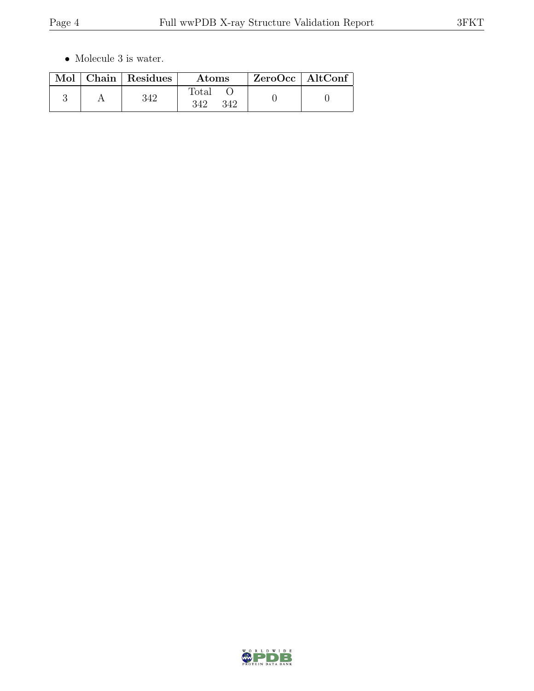$\bullet\,$  Molecule 3 is water.

|  | Mol   Chain   Residues | Atoms                        | $ZeroOcc \   \ AltConf$ |  |
|--|------------------------|------------------------------|-------------------------|--|
|  | 342                    | $\text{Total}$<br>342<br>342 |                         |  |

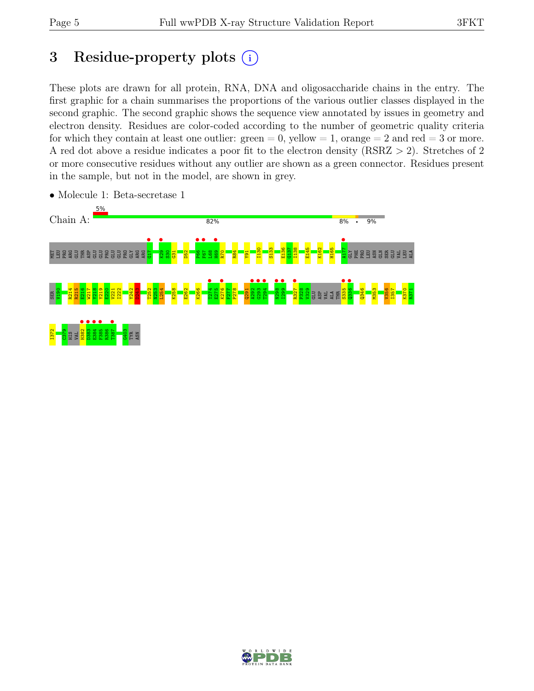# 3 Residue-property plots  $(i)$

These plots are drawn for all protein, RNA, DNA and oligosaccharide chains in the entry. The first graphic for a chain summarises the proportions of the various outlier classes displayed in the second graphic. The second graphic shows the sequence view annotated by issues in geometry and electron density. Residues are color-coded according to the number of geometric quality criteria for which they contain at least one outlier:  $green = 0$ , yellow  $= 1$ , orange  $= 2$  and red  $= 3$  or more. A red dot above a residue indicates a poor fit to the electron density (RSRZ > 2). Stretches of 2 or more consecutive residues without any outlier are shown as a green connector. Residues present in the sample, but not in the model, are shown in grey.



• Molecule 1: Beta-secretase 1

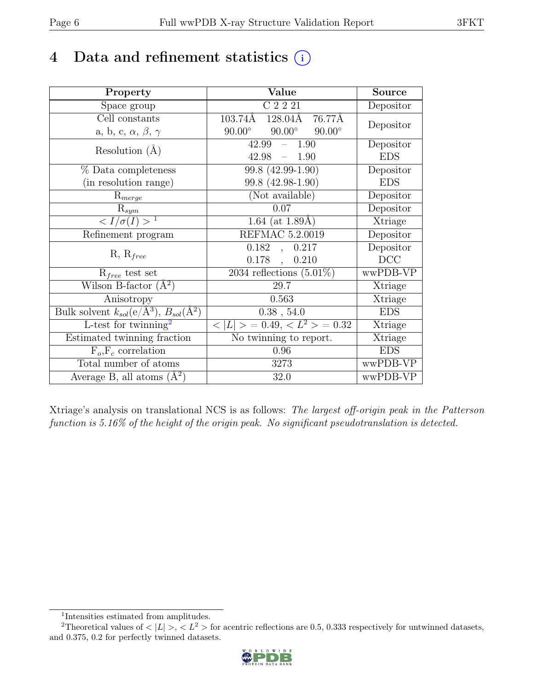# 4 Data and refinement statistics  $(i)$

| Property                                                         | Value                                           | <b>Source</b> |
|------------------------------------------------------------------|-------------------------------------------------|---------------|
| Space group                                                      | C2221                                           | Depositor     |
| Cell constants                                                   | 103.74Å<br>128.04Å<br>76.77Å                    |               |
| a, b, c, $\alpha$ , $\beta$ , $\gamma$                           | $90.00^\circ$<br>$90.00^\circ$<br>$90.00^\circ$ | Depositor     |
| Resolution $(A)$                                                 | 42.99<br>$-1.90$                                | Depositor     |
|                                                                  | 42.98<br>$-1.90$                                | <b>EDS</b>    |
| % Data completeness                                              | 99.8 (42.99-1.90)                               | Depositor     |
| (in resolution range)                                            | 99.8 (42.98-1.90)                               | <b>EDS</b>    |
| $R_{merge}$                                                      | (Not available)                                 | Depositor     |
| $\mathrm{R}_{sym}$                                               | 0.07                                            | Depositor     |
| $\langle I/\sigma(I) \rangle^{-1}$                               | 1.64 (at $1.89\text{\AA})$                      | Xtriage       |
| Refinement program                                               | REFMAC 5.2.0019                                 | Depositor     |
|                                                                  | 0.182<br>0.217<br>$\overline{a}$                | Depositor     |
| $R, R_{free}$                                                    | $0.178$ ,<br>0.210                              | DCC           |
| $R_{free}$ test set                                              | $2034$ reflections $(5.01\%)$                   | wwPDB-VP      |
| Wilson B-factor $(A^2)$                                          | 29.7                                            | Xtriage       |
| Anisotropy                                                       | 0.563                                           | Xtriage       |
| Bulk solvent $k_{sol}(\text{e}/\text{A}^3), B_{sol}(\text{A}^2)$ | $0.38$ , 54.0                                   | <b>EDS</b>    |
| L-test for twinning <sup>2</sup>                                 | $< L >$ = 0.49, $< L^2 >$ = 0.32                | Xtriage       |
| Estimated twinning fraction                                      | $\overline{\text{No}}$ twinning to report.      | Xtriage       |
| $F_o, F_c$ correlation                                           | 0.96                                            | <b>EDS</b>    |
| Total number of atoms                                            | 3273                                            | wwPDB-VP      |
| Average B, all atoms $(A^2)$                                     | 32.0                                            | wwPDB-VP      |

Xtriage's analysis on translational NCS is as follows: The largest off-origin peak in the Patterson function is 5.16% of the height of the origin peak. No significant pseudotranslation is detected.

<sup>&</sup>lt;sup>2</sup>Theoretical values of  $\langle |L| \rangle$ ,  $\langle L^2 \rangle$  for acentric reflections are 0.5, 0.333 respectively for untwinned datasets, and 0.375, 0.2 for perfectly twinned datasets.



<span id="page-5-1"></span><span id="page-5-0"></span><sup>1</sup> Intensities estimated from amplitudes.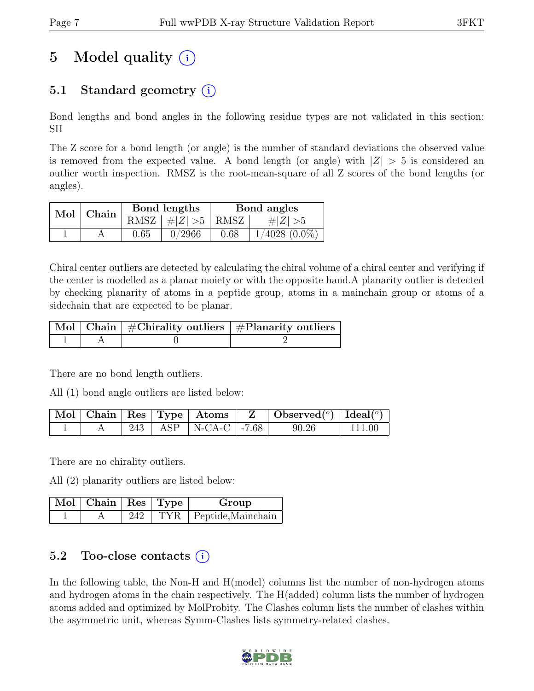# 5 Model quality  $(i)$

# 5.1 Standard geometry  $(i)$

Bond lengths and bond angles in the following residue types are not validated in this section: SII

The Z score for a bond length (or angle) is the number of standard deviations the observed value is removed from the expected value. A bond length (or angle) with  $|Z| > 5$  is considered an outlier worth inspection. RMSZ is the root-mean-square of all Z scores of the bond lengths (or angles).

| Mol Chain |      | Bond lengths             | Bond angles |                    |  |
|-----------|------|--------------------------|-------------|--------------------|--|
|           |      | RMSZ $ #Z  > 5$ RMSZ $ $ |             | $\# Z  > 5$        |  |
|           | 0.65 | 0/2966                   | 0.68        | $1/4028$ $(0.0\%)$ |  |

Chiral center outliers are detected by calculating the chiral volume of a chiral center and verifying if the center is modelled as a planar moiety or with the opposite hand.A planarity outlier is detected by checking planarity of atoms in a peptide group, atoms in a mainchain group or atoms of a sidechain that are expected to be planar.

|  | $\lceil\,\mathrm{Mol}\,\rceil$ Chain $\mid$ #Chirality outliers $\mid$ #Planarity outliers $\mid$ |
|--|---------------------------------------------------------------------------------------------------|
|  |                                                                                                   |

There are no bond length outliers.

All (1) bond angle outliers are listed below:

|  |  |                            | $\vert$ Mol   Chain   Res   Type   Atoms   Z   Observed $(^\circ)$   Ideal $(^\circ)$ |           |
|--|--|----------------------------|---------------------------------------------------------------------------------------|-----------|
|  |  | 243   ASP   N-CA-C   -7.68 | 90.26                                                                                 | $-111.00$ |

There are no chirality outliers.

All (2) planarity outliers are listed below:

| $\sqrt{\text{Mol}}$   Chain   Res   Type $\sqrt{\ }$ |     | Group                  |
|------------------------------------------------------|-----|------------------------|
|                                                      | 242 | TYR Peptide, Mainchain |

## 5.2 Too-close contacts  $(i)$

In the following table, the Non-H and H(model) columns list the number of non-hydrogen atoms and hydrogen atoms in the chain respectively. The H(added) column lists the number of hydrogen atoms added and optimized by MolProbity. The Clashes column lists the number of clashes within the asymmetric unit, whereas Symm-Clashes lists symmetry-related clashes.

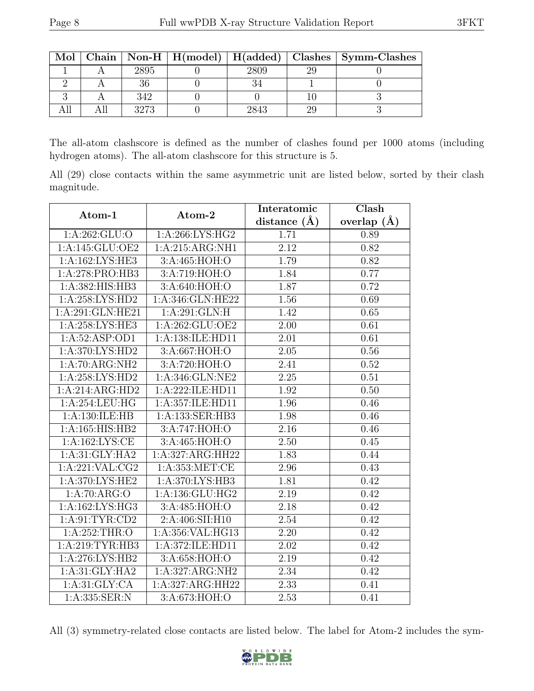| Mol |      |      | Chain   Non-H   $H(model)$   $H(added)$   Clashes   Symm-Clashes |
|-----|------|------|------------------------------------------------------------------|
|     | 2895 | 2809 |                                                                  |
|     |      |      |                                                                  |
|     | 342  |      |                                                                  |
|     | 3273 | 2843 |                                                                  |

The all-atom clashscore is defined as the number of clashes found per 1000 atoms (including hydrogen atoms). The all-atom clashscore for this structure is 5.

All (29) close contacts within the same asymmetric unit are listed below, sorted by their clash magnitude.

| Atom-1              | Atom-2              | Interatomic    | Clash         |  |
|---------------------|---------------------|----------------|---------------|--|
|                     |                     | distance $(A)$ | overlap $(A)$ |  |
| 1:A:262:GLU:O       | 1:A:266:LYS:HG2     | 1.71           | 0.89          |  |
| 1:A:145:GLU:OE2     | 1:A:215:ARG:NH1     | 2.12           | 0.82          |  |
| 1:A:162:LYS:HE3     | 3:A:465:HOH:O       | 1.79           | 0.82          |  |
| 1:A:278:PRO:HB3     | 3:A:719:HOH:O       | 1.84           | 0.77          |  |
| 1:A:382:HIS:HB3     | 3:A:640:HOH:O       | 1.87           | 0.72          |  |
| 1: A:258:LYS:HD2    | 1:A:346:GLN:HE22    | 1.56           | 0.69          |  |
| 1:A:291:GLN:HE21    | 1: A:291: GLN: H    | 1.42           | 0.65          |  |
| 1:A:258:LYS:HE3     | 1:A:262:GLU:OE2     | 2.00           | 0.61          |  |
| 1:A:52:ASP:OD1      | 1:A:138:ILE:HD11    | 2.01           | 0.61          |  |
| 1: A:370: LYS: HD2  | 3:A:667:HOH:O       | 2.05           | 0.56          |  |
| 1:A:70:ARG:NH2      | 3:A:720:HOH:O       | 2.41           | 0.52          |  |
| 1: A:258: LYS: HD2  | 1:A:346:GLN:NE2     | 2.25           | 0.51          |  |
| 1:A:214:ARG:HD2     | 1: A:222: ILE: HD11 | 1.92           | 0.50          |  |
| 1:A:254:LEU:HG      | 1:A:357:ILE:HD11    | 1.96           | 0.46          |  |
| 1:A:130:ILE:HB      | 1:A:133:SER:HB3     | 1.98           | 0.46          |  |
| 1:A:165:HIS:HB2     | 3:A:747:HOH:O       | 2.16           | 0.46          |  |
| 1:A:162:LYS:CE      | 3:A:465:HOH:O       | 2.50           | 0.45          |  |
| 1: A:31: GLY: HA2   | 1:A:327:ARG:HH22    | 1.83           | 0.44          |  |
| 1: A:221:VAL: CG2   | 1: A: 353: MET:CE   | 2.96           | 0.43          |  |
| 1:A:370:LYS:HE2     | 1:A:370:LYS:HB3     | 1.81           | 0.42          |  |
| 1:A:70:ARG:O        | 1: A: 136: GLU: HG2 | 2.19           | 0.42          |  |
| 1: A: 162: LYS: HG3 | 3:A:485:HOH:O       | 2.18           | 0.42          |  |
| 1: A:91:TYR:CD2     | 2:A:406:SII:H10     | 2.54           | 0.42          |  |
| 1: A:252:THR:O      | 1:A:356:VAL:HG13    | 2.20           | 0.42          |  |
| 1:A:219:TYR:HB3     | 1:A:372:ILE:HD11    | 2.02           | 0.42          |  |
| 1:A:276:LYS:HB2     | 3:A:658:HOH:O       | 2.19           | 0.42          |  |
| 1: A:31: GLY: HA2   | 1:A:327:ARG:NH2     | 2.34           | 0.42          |  |
| 1: A:31: GLY:CA     | 1:A:327:ARG:HH22    | 2.33           | 0.41          |  |
| 1:A:335:SER:N       | 3:A:673:HOH:O       | 2.53           | 0.41          |  |

All (3) symmetry-related close contacts are listed below. The label for Atom-2 includes the sym-

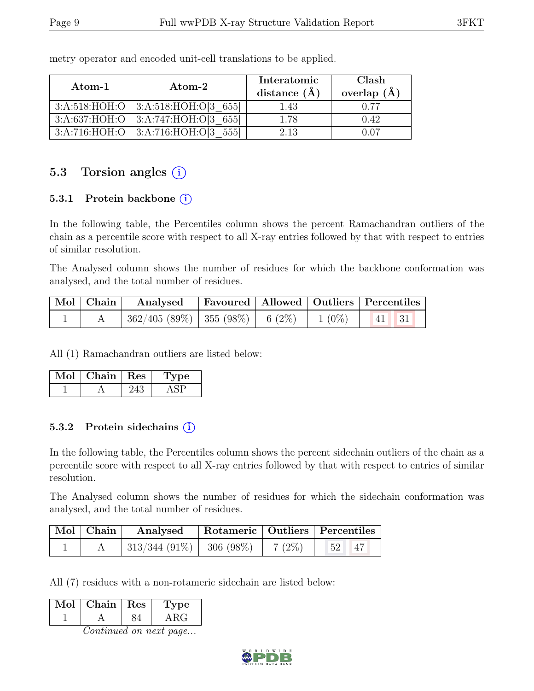| Atom-1 | Atom-2                                   | Interatomic<br>distance $(\AA)$ | Clash<br>overlap $(\AA)$ |  |
|--------|------------------------------------------|---------------------------------|--------------------------|--|
|        | $3:A:518:HOH:O$ 3:A:518:HOH:O[3 655]     | 1.43                            | 0.77                     |  |
|        | 3:A:637:HOH:O   3:A:747:HOH:O $ 3.655 $  | 1.78                            | 0.42                     |  |
|        | $3:A:716:HOH:O$   $3:A:716:HOH:O[3 555]$ | 2.13                            | ነ በ7                     |  |

metry operator and encoded unit-cell translations to be applied.

## 5.3 Torsion angles  $(i)$

### 5.3.1 Protein backbone (i)

In the following table, the Percentiles column shows the percent Ramachandran outliers of the chain as a percentile score with respect to all X-ray entries followed by that with respect to entries of similar resolution.

The Analysed column shows the number of residues for which the backbone conformation was analysed, and the total number of residues.

| Mol   Chain | Analysed Favoured   Allowed   Outliers   Percentiles |  |  |  |
|-------------|------------------------------------------------------|--|--|--|
|             | $362/405 (89\%)$ 355 (98%) 6 (2%) 1 (0%) 41 31       |  |  |  |

All (1) Ramachandran outliers are listed below:

| MoL | Chain   Res | Dе |
|-----|-------------|----|
|     |             |    |

### 5.3.2 Protein sidechains (i)

In the following table, the Percentiles column shows the percent sidechain outliers of the chain as a percentile score with respect to all X-ray entries followed by that with respect to entries of similar resolution.

The Analysed column shows the number of residues for which the sidechain conformation was analysed, and the total number of residues.

| $\vert$ Mol $\vert$ Chain $\vert$ | Analysed                      | Rotameric   Outliers   Percentiles |          |              |  |
|-----------------------------------|-------------------------------|------------------------------------|----------|--------------|--|
|                                   | $313/344$ (91\%)   306 (98\%) |                                    | $7(2\%)$ | $-52$<br>`47 |  |

All (7) residues with a non-rotameric sidechain are listed below:

| Mol | Chain   Res | 'De |
|-----|-------------|-----|
|     |             |     |

Continued on next page...

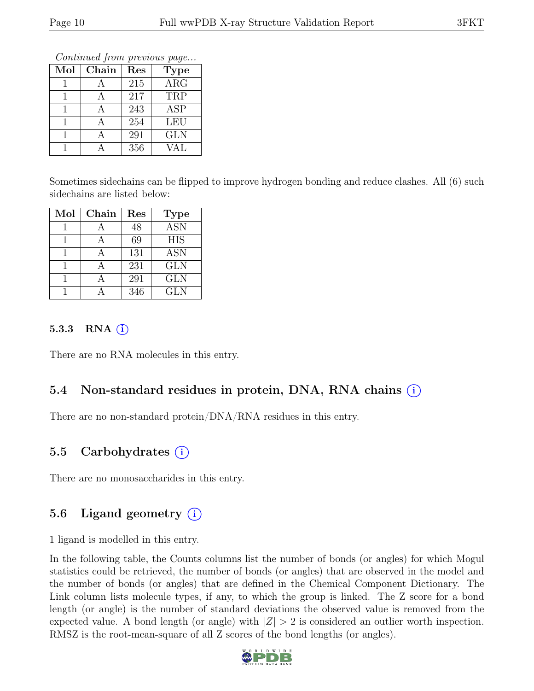Continued from previous page...

| Mol | Chain | Res | <b>Type</b>             |
|-----|-------|-----|-------------------------|
|     |       | 215 | $\overline{\text{ARG}}$ |
|     |       | 217 | TRP                     |
|     |       | 243 | ASP                     |
|     |       | 254 | LEU                     |
|     |       | 291 | <b>GLN</b>              |
|     |       | 356 | <b>VAL</b>              |

Sometimes sidechains can be flipped to improve hydrogen bonding and reduce clashes. All (6) such sidechains are listed below:

| Mol | Chain | Res | <b>Type</b>             |
|-----|-------|-----|-------------------------|
|     |       | 48  | $\overline{\text{ASN}}$ |
|     |       | 69  | <b>HIS</b>              |
|     |       | 131 | ASN                     |
|     |       | 231 | <b>GLN</b>              |
|     |       | 291 | <b>GLN</b>              |
|     |       | 346 | <b>GLN</b>              |

#### 5.3.3 RNA  $(i)$

There are no RNA molecules in this entry.

## 5.4 Non-standard residues in protein, DNA, RNA chains (i)

There are no non-standard protein/DNA/RNA residues in this entry.

## 5.5 Carbohydrates (i)

There are no monosaccharides in this entry.

## 5.6 Ligand geometry  $(i)$

1 ligand is modelled in this entry.

In the following table, the Counts columns list the number of bonds (or angles) for which Mogul statistics could be retrieved, the number of bonds (or angles) that are observed in the model and the number of bonds (or angles) that are defined in the Chemical Component Dictionary. The Link column lists molecule types, if any, to which the group is linked. The Z score for a bond length (or angle) is the number of standard deviations the observed value is removed from the expected value. A bond length (or angle) with  $|Z| > 2$  is considered an outlier worth inspection. RMSZ is the root-mean-square of all Z scores of the bond lengths (or angles).

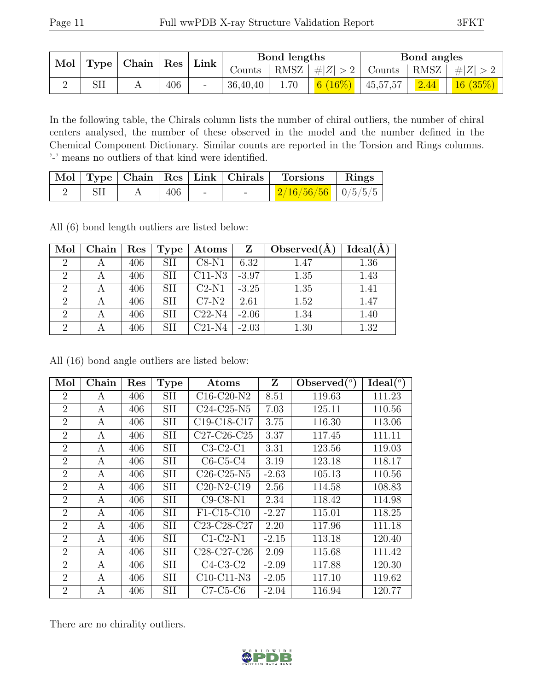| Mol | Type | $\vert$ Chain   Res |     |                          | $\mid$ Link |      | Bond lengths               |          |        | Bond angles              |  |
|-----|------|---------------------|-----|--------------------------|-------------|------|----------------------------|----------|--------|--------------------------|--|
|     |      |                     |     |                          | Counts      |      | RMSZ $ #Z  > 2$            | Counts   | ' RMSZ | #Z  > 2                  |  |
|     | SII  |                     | 406 | $\overline{\phantom{a}}$ | 36,40,40    | 1.70 | $(16\%)$<br>6 <sup>1</sup> | 45,57,57 | 2.44   | $\mid 16 \; (35\%) \mid$ |  |

In the following table, the Chirals column lists the number of chiral outliers, the number of chiral centers analysed, the number of these observed in the model and the number defined in the Chemical Component Dictionary. Similar counts are reported in the Torsion and Rings columns. '-' means no outliers of that kind were identified.

|  |     |        | Mol   Type   Chain   Res   Link   Chirals   Torsions   Rings |  |
|--|-----|--------|--------------------------------------------------------------|--|
|  | 406 | $\sim$ | $\frac{2}{16/56/56}$   0/5/5/5                               |  |

All (6) bond length outliers are listed below:

| Mol            | Chain | Res | Type       | $\rm{Atoms}$ | Z       | Observed $(A)$ | Ideal(A) |
|----------------|-------|-----|------------|--------------|---------|----------------|----------|
| $\overline{2}$ |       | 406 | <b>SII</b> | $C8-N1$      | 6.32    | 1.47           | 1.36     |
| $\overline{2}$ |       | 406 | <b>SII</b> | $C11-N3$     | $-3.97$ | 1.35           | 1.43     |
| $\overline{2}$ |       | 406 | <b>SII</b> | $C2-N1$      | $-3.25$ | 1.35           | 1.41     |
| 2              |       | 406 | <b>SII</b> | $C7-N2$      | 2.61    | 1.52           | 1.47     |
| $\overline{2}$ |       | 406 | <b>SII</b> | $C22-N4$     | $-2.06$ | 1.34           | 1.40     |
| $\mathfrak{D}$ |       | 406 | <b>SII</b> | C21-N4       | $-2.03$ | 1.30           | 1.32     |

All (16) bond angle outliers are listed below:

| Mol                         | Chain | Res | <b>Type</b> | Atoms                                             | Z       | $\text{Observed}({}^o)$ | Ideal (°) |
|-----------------------------|-------|-----|-------------|---------------------------------------------------|---------|-------------------------|-----------|
| $\overline{2}$              | A     | 406 | <b>SII</b>  | $C16-C20-N2$                                      | 8.51    | 119.63                  | 111.23    |
| $\overline{2}$              | A     | 406 | <b>SII</b>  | $C24-C25-N5$                                      | 7.03    | 125.11                  | 110.56    |
| $\overline{2}$              | A     | 406 | SII         | C <sub>19</sub> -C <sub>18</sub> -C <sub>17</sub> | 3.75    | 116.30                  | 113.06    |
| $\overline{2}$              | A     | 406 | <b>SII</b>  | $C27-C26-C25$                                     | 3.37    | 117.45                  | 111.11    |
| $\overline{2}$              | A     | 406 | <b>SII</b>  | $C3-C2-C1$                                        | 3.31    | 123.56                  | 119.03    |
| $\overline{2}$              | A     | 406 | <b>SII</b>  | $C6-C5-C4$                                        | 3.19    | 123.18                  | 118.17    |
| $\overline{2}$              | A     | 406 | <b>SII</b>  | $C26$ - $C25$ - $N5$                              | $-2.63$ | 105.13                  | 110.56    |
| $\overline{2}$              | A     | 406 | <b>SII</b>  | $C20-N2-C19$                                      | 2.56    | 114.58                  | 108.83    |
| $\overline{2}$              | A     | 406 | <b>SII</b>  | $C9-C8-N1$                                        | 2.34    | 118.42                  | 114.98    |
| $\overline{2}$              | A     | 406 | SII         | F1-C15-C10                                        | $-2.27$ | 115.01                  | 118.25    |
| $\overline{2}$              | A     | 406 | <b>SII</b>  | C <sub>23</sub> -C <sub>28</sub> -C <sub>27</sub> | 2.20    | 117.96                  | 111.18    |
| $\mathcal{D}_{\mathcal{L}}$ | A     | 406 | <b>SII</b>  | $C1-C2-N1$                                        | $-2.15$ | 113.18                  | 120.40    |
| $\overline{2}$              | A     | 406 | <b>SII</b>  | C <sub>28</sub> -C <sub>27</sub> -C <sub>26</sub> | 2.09    | 115.68                  | 111.42    |
| $\overline{2}$              | A     | 406 | <b>SII</b>  | $C4-C3-C2$                                        | $-2.09$ | 117.88                  | 120.30    |
| $\overline{2}$              | A     | 406 | SII         | $C10-C11-N3$                                      | $-2.05$ | 117.10                  | 119.62    |
| $\overline{2}$              | А     | 406 | <b>SII</b>  | $C7-C5-C6$                                        | $-2.04$ | 116.94                  | 120.77    |

There are no chirality outliers.

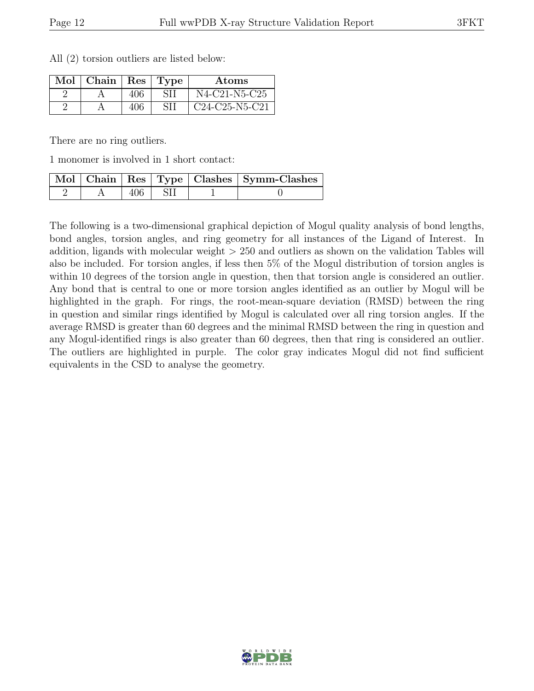| Mol | $\vert$ Chain $\vert$ Res $\vert$ Type |     |    | Atoms            |
|-----|----------------------------------------|-----|----|------------------|
|     |                                        | 406 | SП | N4-C21-N5-C25    |
|     |                                        | 406 | SH | $C24-C25-N5-C21$ |

All (2) torsion outliers are listed below:

There are no ring outliers.

1 monomer is involved in 1 short contact:

|  |      |  | Mol   Chain   Res   Type   Clashes   Symm-Clashes |
|--|------|--|---------------------------------------------------|
|  | 406. |  |                                                   |

The following is a two-dimensional graphical depiction of Mogul quality analysis of bond lengths, bond angles, torsion angles, and ring geometry for all instances of the Ligand of Interest. In addition, ligands with molecular weight > 250 and outliers as shown on the validation Tables will also be included. For torsion angles, if less then 5% of the Mogul distribution of torsion angles is within 10 degrees of the torsion angle in question, then that torsion angle is considered an outlier. Any bond that is central to one or more torsion angles identified as an outlier by Mogul will be highlighted in the graph. For rings, the root-mean-square deviation (RMSD) between the ring in question and similar rings identified by Mogul is calculated over all ring torsion angles. If the average RMSD is greater than 60 degrees and the minimal RMSD between the ring in question and any Mogul-identified rings is also greater than 60 degrees, then that ring is considered an outlier. The outliers are highlighted in purple. The color gray indicates Mogul did not find sufficient equivalents in the CSD to analyse the geometry.

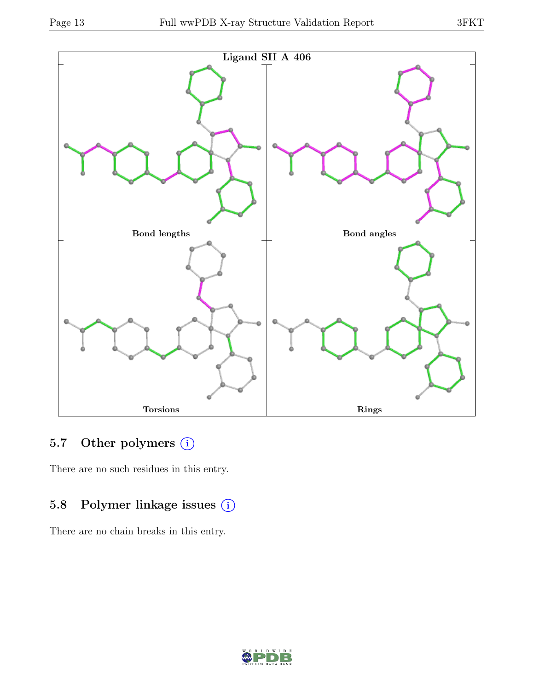

# 5.7 Other polymers (i)

There are no such residues in this entry.

## 5.8 Polymer linkage issues (i)

There are no chain breaks in this entry.

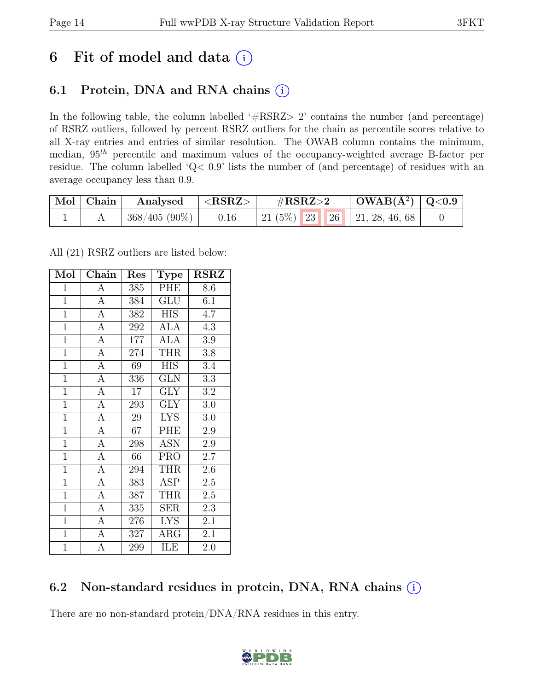# 6 Fit of model and data  $(i)$

# 6.1 Protein, DNA and RNA chains  $(i)$

In the following table, the column labelled ' $\#\text{RSRZ}>2$ ' contains the number (and percentage) of RSRZ outliers, followed by percent RSRZ outliers for the chain as percentile scores relative to all X-ray entries and entries of similar resolution. The OWAB column contains the minimum, median,  $95<sup>th</sup>$  percentile and maximum values of the occupancy-weighted average B-factor per residue. The column labelled 'Q< 0.9' lists the number of (and percentage) of residues with an average occupancy less than 0.9.

| Mol Chain | Analysed      | $^{\shortmid} < \text{RSRZ} >$ | $\#\text{RSRZ}\text{>2}$            | $\mid$ OWAB(Å <sup>2</sup> ) $\mid$ Q<0.9 |  |
|-----------|---------------|--------------------------------|-------------------------------------|-------------------------------------------|--|
|           | 368/405 (90%) | 0.16                           | 21 (5\%)   23   26   21, 28, 46, 68 |                                           |  |

All (21) RSRZ outliers are listed below:

| Mol            | Chain            | Res              | <b>Type</b>             | <b>RSRZ</b> |
|----------------|------------------|------------------|-------------------------|-------------|
| $\mathbf{1}$   | $\boldsymbol{A}$ | 385              | PHE                     | 8.6         |
| $\overline{1}$ | $\overline{A}$   | 384              | $\overline{\text{GLU}}$ | 6.1         |
| $\overline{1}$ | $\overline{A}$   | 382              | <b>HIS</b>              | 4.7         |
| $\mathbf{1}$   | $\boldsymbol{A}$ | 292              | <b>ALA</b>              | 4.3         |
| $\overline{1}$ | $\overline{A}$   | $\overline{1}77$ | $\overline{ALA}$        | 3.9         |
| $\overline{1}$ | $\overline{A}$   | 274              | <b>THR</b>              | 3.8         |
| $\mathbf{1}$   | $\overline{A}$   | 69               | <b>HIS</b>              | 3.4         |
| $\mathbf{1}$   | $\overline{A}$   | 336              | <b>GLN</b>              | 3.3         |
| $\overline{1}$ | $\overline{A}$   | 17               | $\text{GLY}$            | $\!3.2\!$   |
| $\mathbf{1}$   | $\overline{A}$   | 293              | $\overline{\text{GLY}}$ | 3.0         |
| $\mathbf{1}$   | $\overline{A}$   | 29               | <b>LYS</b>              | 3.0         |
| $\overline{1}$ | $\overline{A}$   | 67               | PHE                     | 2.9         |
| $\mathbf{1}$   | $\overline{A}$   | 298              | <b>ASN</b>              | 2.9         |
| $\overline{1}$ | $\overline{A}$   | 66               | PRO <sub></sub>         | 2.7         |
| $\overline{1}$ | $\overline{A}$   | 294              | <b>THR</b>              | 2.6         |
| $\overline{1}$ | $\overline{A}$   | 383              | <b>ASP</b>              | $2.5\,$     |
| $\overline{1}$ | $\overline{A}$   | 387              | <b>THR</b>              | $2.5\,$     |
| $\mathbf{1}$   | $\mathbf{A}$     | 335              | $\operatorname{SER}$    | 2.3         |
| $\overline{1}$ | $\mathbf{A}$     | 276              | <b>LYS</b>              | 2.1         |
| $\mathbf{1}$   | $\overline{A}$   | 327              | $\rm{ARG}$              | 2.1         |
| $\overline{1}$ | A                | 299              | ILE                     | 2.0         |

## 6.2 Non-standard residues in protein, DNA, RNA chains (i)

There are no non-standard protein/DNA/RNA residues in this entry.